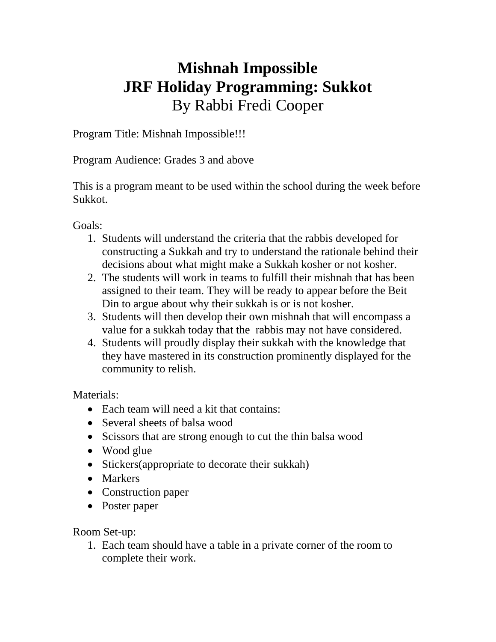## **Mishnah Impossible JRF Holiday Programming: Sukkot**  By Rabbi Fredi Cooper

Program Title: Mishnah Impossible!!!

Program Audience: Grades 3 and above

This is a program meant to be used within the school during the week before Sukkot.

Goals:

- 1. Students will understand the criteria that the rabbis developed for constructing a Sukkah and try to understand the rationale behind their decisions about what might make a Sukkah kosher or not kosher.
- 2. The students will work in teams to fulfill their mishnah that has been assigned to their team. They will be ready to appear before the Beit Din to argue about why their sukkah is or is not kosher.
- 3. Students will then develop their own mishnah that will encompass a value for a sukkah today that the rabbis may not have considered.
- 4. Students will proudly display their sukkah with the knowledge that they have mastered in its construction prominently displayed for the community to relish.

Materials:

- Each team will need a kit that contains:
- Several sheets of balsa wood
- Scissors that are strong enough to cut the thin balsa wood
- Wood glue
- Stickers(appropriate to decorate their sukkah)
- Markers
- Construction paper
- Poster paper

Room Set-up:

1. Each team should have a table in a private corner of the room to complete their work.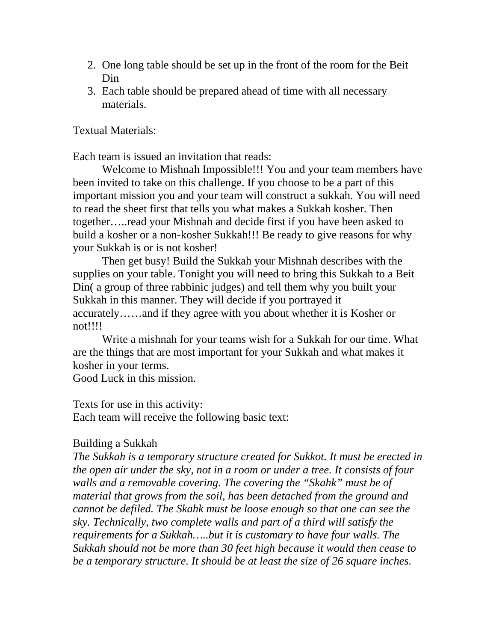- 2. One long table should be set up in the front of the room for the Beit Din
- 3. Each table should be prepared ahead of time with all necessary materials.

## Textual Materials:

Each team is issued an invitation that reads:

 Welcome to Mishnah Impossible!!! You and your team members have been invited to take on this challenge. If you choose to be a part of this important mission you and your team will construct a sukkah. You will need to read the sheet first that tells you what makes a Sukkah kosher. Then together…..read your Mishnah and decide first if you have been asked to build a kosher or a non-kosher Sukkah!!! Be ready to give reasons for why your Sukkah is or is not kosher!

Then get busy! Build the Sukkah your Mishnah describes with the supplies on your table. Tonight you will need to bring this Sukkah to a Beit Din( a group of three rabbinic judges) and tell them why you built your Sukkah in this manner. They will decide if you portrayed it accurately……and if they agree with you about whether it is Kosher or not!!!!

Write a mishnah for your teams wish for a Sukkah for our time. What are the things that are most important for your Sukkah and what makes it kosher in your terms.

Good Luck in this mission.

## Texts for use in this activity:

Each team will receive the following basic text:

## Building a Sukkah

*The Sukkah is a temporary structure created for Sukkot. It must be erected in the open air under the sky, not in a room or under a tree. It consists of four walls and a removable covering. The covering the "Skahk" must be of material that grows from the soil, has been detached from the ground and cannot be defiled. The Skahk must be loose enough so that one can see the sky. Technically, two complete walls and part of a third will satisfy the requirements for a Sukkah…..but it is customary to have four walls. The Sukkah should not be more than 30 feet high because it would then cease to be a temporary structure. It should be at least the size of 26 square inches.*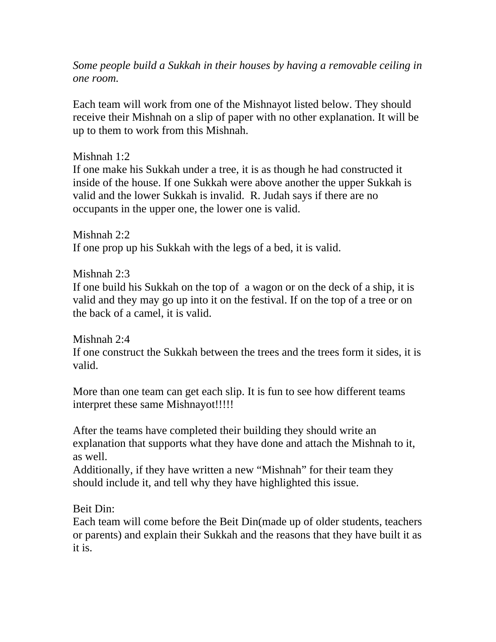*Some people build a Sukkah in their houses by having a removable ceiling in one room.* 

Each team will work from one of the Mishnayot listed below. They should receive their Mishnah on a slip of paper with no other explanation. It will be up to them to work from this Mishnah.

Mishnah 1:2

If one make his Sukkah under a tree, it is as though he had constructed it inside of the house. If one Sukkah were above another the upper Sukkah is valid and the lower Sukkah is invalid. R. Judah says if there are no occupants in the upper one, the lower one is valid.

Mishnah 2:2 If one prop up his Sukkah with the legs of a bed, it is valid.

Mishnah 2:3

If one build his Sukkah on the top of a wagon or on the deck of a ship, it is valid and they may go up into it on the festival. If on the top of a tree or on the back of a camel, it is valid.

Mishnah 2:4

If one construct the Sukkah between the trees and the trees form it sides, it is valid.

More than one team can get each slip. It is fun to see how different teams interpret these same Mishnayot!!!!!

After the teams have completed their building they should write an explanation that supports what they have done and attach the Mishnah to it, as well.

Additionally, if they have written a new "Mishnah" for their team they should include it, and tell why they have highlighted this issue.

Beit Din:

Each team will come before the Beit Din(made up of older students, teachers or parents) and explain their Sukkah and the reasons that they have built it as it is.